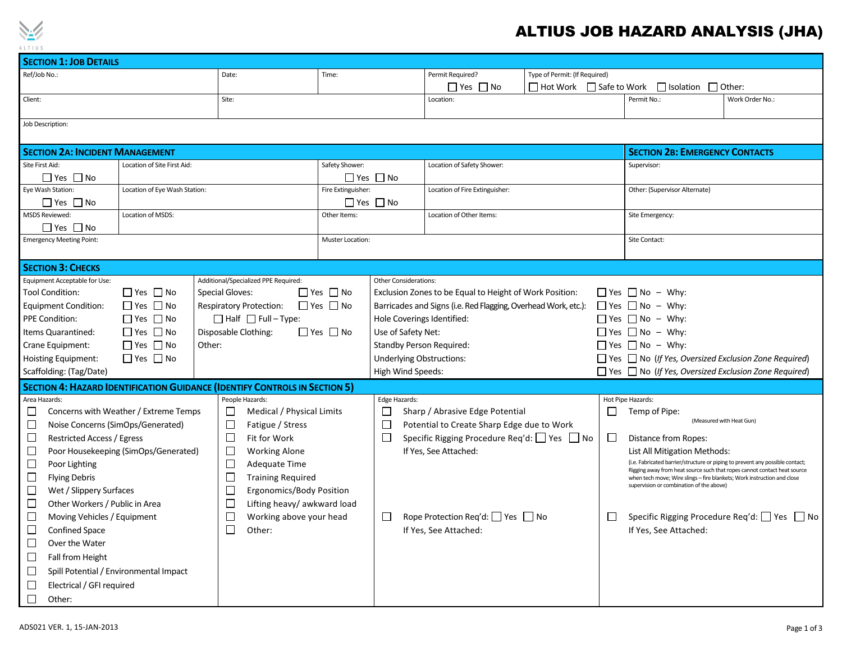

## ALTIUS JOB HAZARD ANALYSIS (JHA)

| <b>SECTION 1: JOB DETAILS</b>                                                     |                      |                 |                                                        |                                      |                                                                |                                                                      |              |                                                                  |                                                                                                                                                           |                                              |  |  |
|-----------------------------------------------------------------------------------|----------------------|-----------------|--------------------------------------------------------|--------------------------------------|----------------------------------------------------------------|----------------------------------------------------------------------|--------------|------------------------------------------------------------------|-----------------------------------------------------------------------------------------------------------------------------------------------------------|----------------------------------------------|--|--|
| Ref/Job No.:                                                                      |                      | Date:           |                                                        |                                      |                                                                | Permit Required?<br>Type of Permit: (If Required)                    |              |                                                                  |                                                                                                                                                           |                                              |  |  |
|                                                                                   |                      |                 |                                                        |                                      |                                                                | $\Box$ Yes $\Box$ No                                                 |              |                                                                  | $\Box$ Hot Work $\Box$ Safe to Work $\Box$ Isolation $\Box$ Other:                                                                                        |                                              |  |  |
| Client:                                                                           |                      | Site:           |                                                        |                                      |                                                                | Location:                                                            |              |                                                                  | Permit No.:                                                                                                                                               | Work Order No.:                              |  |  |
|                                                                                   |                      |                 |                                                        |                                      |                                                                |                                                                      |              |                                                                  |                                                                                                                                                           |                                              |  |  |
| Job Description:                                                                  |                      |                 |                                                        |                                      |                                                                |                                                                      |              |                                                                  |                                                                                                                                                           |                                              |  |  |
|                                                                                   |                      |                 |                                                        |                                      |                                                                |                                                                      |              |                                                                  |                                                                                                                                                           |                                              |  |  |
| <b>SECTION 2A: INCIDENT MANAGEMENT</b>                                            |                      |                 |                                                        |                                      |                                                                |                                                                      |              |                                                                  | <b>SECTION 2B: EMERGENCY CONTACTS</b>                                                                                                                     |                                              |  |  |
| Site First Aid:<br>Location of Site First Aid:                                    |                      |                 |                                                        | Safety Shower:                       |                                                                | Location of Safety Shower:                                           |              |                                                                  | Supervisor:                                                                                                                                               |                                              |  |  |
|                                                                                   | $\Box$ Yes $\Box$ No |                 |                                                        |                                      |                                                                | $\Box$ Yes $\Box$ No                                                 |              |                                                                  |                                                                                                                                                           |                                              |  |  |
| Eye Wash Station:<br>Location of Eye Wash Station:                                |                      |                 |                                                        | Fire Extinguisher:                   |                                                                | Location of Fire Extinguisher:                                       |              |                                                                  | Other: (Supervisor Alternate)                                                                                                                             |                                              |  |  |
| <b>MSDS Reviewed:</b>                                                             | $\Box$ Yes $\Box$ No |                 |                                                        | $\Box$ Yes $\Box$ No<br>Other Items: |                                                                |                                                                      |              |                                                                  | Site Emergency:                                                                                                                                           |                                              |  |  |
| $\Box$ Yes $\Box$ No                                                              | Location of MSDS:    |                 |                                                        |                                      |                                                                | Location of Other Items:                                             |              |                                                                  |                                                                                                                                                           |                                              |  |  |
| <b>Emergency Meeting Point:</b>                                                   |                      |                 | <b>Muster Location:</b>                                |                                      |                                                                |                                                                      |              |                                                                  | Site Contact:                                                                                                                                             |                                              |  |  |
|                                                                                   |                      |                 |                                                        |                                      |                                                                |                                                                      |              |                                                                  |                                                                                                                                                           |                                              |  |  |
| <b>SECTION 3: CHECKS</b>                                                          |                      |                 |                                                        |                                      |                                                                |                                                                      |              |                                                                  |                                                                                                                                                           |                                              |  |  |
| Equipment Acceptable for Use:                                                     |                      |                 | Additional/Specialized PPE Required:                   |                                      | <b>Other Considerations:</b>                                   |                                                                      |              |                                                                  |                                                                                                                                                           |                                              |  |  |
| $\Box$ Yes $\Box$ No<br><b>Tool Condition:</b><br><b>Special Gloves:</b>          |                      |                 |                                                        | $\Box$ Yes $\Box$ No                 |                                                                | Exclusion Zones to be Equal to Height of Work Position:              |              |                                                                  | $\Box$ Yes $\Box$ No – Why:                                                                                                                               |                                              |  |  |
| $\Box$ Yes $\Box$ No<br><b>Equipment Condition:</b>                               |                      |                 | $\Box$ Yes $\Box$ No<br><b>Respiratory Protection:</b> |                                      | Barricades and Signs (i.e. Red Flagging, Overhead Work, etc.): |                                                                      |              | $\Box$ Yes $\Box$ No – Why:                                      |                                                                                                                                                           |                                              |  |  |
| $\Box$ Yes $\Box$ No<br><b>PPE Condition:</b>                                     |                      |                 | $\Box$ Half $\Box$ Full – Type:                        |                                      | Hole Coverings Identified:                                     |                                                                      |              | $\Box$ Yes $\Box$ No – Why:                                      |                                                                                                                                                           |                                              |  |  |
| $\Box$ Yes $\Box$ No<br>Items Quarantined:                                        |                      |                 | $\Box$ Yes $\Box$ No<br>Disposable Clothing:           |                                      | Use of Safety Net:                                             |                                                                      |              | $\Box$ Yes $\Box$ No – Why:                                      |                                                                                                                                                           |                                              |  |  |
| $\Box$ Yes $\Box$ No<br>Crane Equipment:<br>Other:                                |                      |                 |                                                        |                                      | <b>Standby Person Required:</b>                                |                                                                      |              | $\Box$ Yes $\Box$ No – Why:                                      |                                                                                                                                                           |                                              |  |  |
| $\Box$ Yes $\Box$ No<br>Hoisting Equipment:                                       |                      |                 |                                                        |                                      | <b>Underlying Obstructions:</b>                                |                                                                      |              | $\Box$ Yes $\Box$ No (If Yes, Oversized Exclusion Zone Required) |                                                                                                                                                           |                                              |  |  |
| Scaffolding: (Tag/Date)                                                           |                      |                 |                                                        |                                      | High Wind Speeds:                                              |                                                                      |              |                                                                  | $\Box$ Yes $\Box$ No (If Yes, Oversized Exclusion Zone Required)                                                                                          |                                              |  |  |
| <b>SECTION 4: HAZARD IDENTIFICATION GUIDANCE (IDENTIFY CONTROLS IN SECTION 5)</b> |                      |                 |                                                        |                                      |                                                                |                                                                      |              |                                                                  |                                                                                                                                                           |                                              |  |  |
| Area Hazards:                                                                     |                      | People Hazards: |                                                        | Edge Hazards:                        |                                                                |                                                                      |              | Hot Pipe Hazards:                                                |                                                                                                                                                           |                                              |  |  |
| Concerns with Weather / Extreme Temps<br>⊔                                        |                      |                 | Medical / Physical Limits                              |                                      | ⊔<br>Sharp / Abrasive Edge Potential                           |                                                                      | $\mathbf{L}$ |                                                                  | Temp of Pipe:                                                                                                                                             |                                              |  |  |
| □<br>Noise Concerns (SimOps/Generated)                                            |                      | $\Box$          | Fatigue / Stress                                       |                                      | $\Box$<br>Potential to Create Sharp Edge due to Work           |                                                                      |              |                                                                  |                                                                                                                                                           | (Measured with Heat Gun)                     |  |  |
| $\Box$<br><b>Restricted Access / Egress</b>                                       |                      |                 | Fit for Work                                           |                                      | $\Box$                                                         | Specific Rigging Procedure Req'd: □ Yes □ No                         |              | $\Box$                                                           | Distance from Ropes:                                                                                                                                      |                                              |  |  |
| $\Box$<br>Poor Housekeeping (SimOps/Generated)                                    |                      |                 | <b>Working Alone</b>                                   |                                      | If Yes, See Attached:                                          |                                                                      |              | <b>List All Mitigation Methods:</b>                              |                                                                                                                                                           |                                              |  |  |
| $\Box$<br>Poor Lighting                                                           |                      | $\Box$          | Adequate Time                                          |                                      |                                                                |                                                                      |              |                                                                  | (i.e. Fabricated barrier/structure or piping to prevent any possible contact;<br>Rigging away from heat source such that ropes cannot contact heat source |                                              |  |  |
| $\Box$<br><b>Flying Debris</b>                                                    |                      | $\Box$          | <b>Training Required</b>                               |                                      |                                                                |                                                                      |              |                                                                  | when tech move; Wire slings - fire blankets; Work instruction and close                                                                                   |                                              |  |  |
| □<br>Wet / Slippery Surfaces                                                      |                      |                 | ⊏<br>Ergonomics/Body Position                          |                                      |                                                                |                                                                      |              |                                                                  | supervision or combination of the above)                                                                                                                  |                                              |  |  |
| □<br>Other Workers / Public in Area                                               |                      |                 | $\Box$<br>Lifting heavy/ awkward load                  |                                      |                                                                |                                                                      |              |                                                                  |                                                                                                                                                           |                                              |  |  |
| □<br>Moving Vehicles / Equipment                                                  |                      | $\Box$          | Working above your head                                |                                      | $\Box$                                                         | Rope Protection Req'd: $\Box$ Yes $\Box$ No<br>If Yes, See Attached: |              | $\Box$                                                           |                                                                                                                                                           | Specific Rigging Procedure Req'd: □ Yes □ No |  |  |
| $\Box$<br><b>Confined Space</b>                                                   |                      | □               | Other:                                                 |                                      |                                                                |                                                                      |              |                                                                  | If Yes, See Attached:                                                                                                                                     |                                              |  |  |
| □<br>Over the Water                                                               |                      |                 |                                                        |                                      |                                                                |                                                                      |              |                                                                  |                                                                                                                                                           |                                              |  |  |
| □<br>Fall from Height                                                             |                      |                 |                                                        |                                      |                                                                |                                                                      |              |                                                                  |                                                                                                                                                           |                                              |  |  |
| ⊔<br>Spill Potential / Environmental Impact                                       |                      |                 |                                                        |                                      |                                                                |                                                                      |              |                                                                  |                                                                                                                                                           |                                              |  |  |
| □<br>Electrical / GFI required                                                    |                      |                 |                                                        |                                      |                                                                |                                                                      |              |                                                                  |                                                                                                                                                           |                                              |  |  |
| $\Box$<br>Other:                                                                  |                      |                 |                                                        |                                      |                                                                |                                                                      |              |                                                                  |                                                                                                                                                           |                                              |  |  |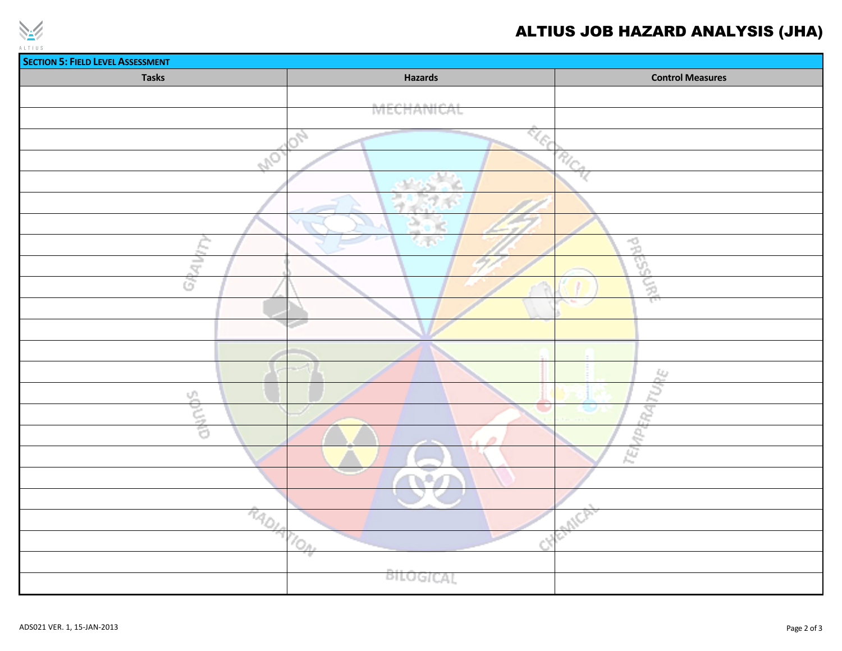

## ALTIUS JOB HAZARD ANALYSIS (JHA)